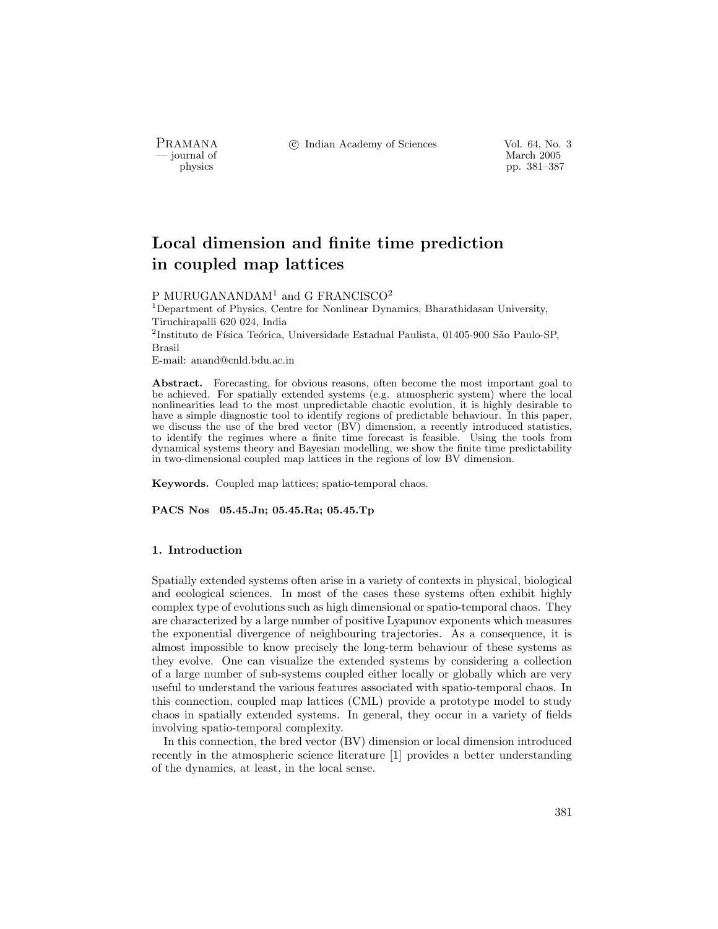PRAMANA °c Indian Academy of Sciences Vol. 64, No. 3

— journal of March 2005<br>— physics — journal of March 2005<br>— pp. 381–387 pp. 381–387

# Local dimension and finite time prediction in coupled map lattices

## P MURUGANANDA $M<sup>1</sup>$  and G FRANCISCO<sup>2</sup>

<sup>1</sup>Department of Physics, Centre for Nonlinear Dynamics, Bharathidasan University, Tiruchirapalli 620 024, India <sup>2</sup>Instituto de Física Teórica, Universidade Estadual Paulista, 01405-900 São Paulo-SP, Brasil

E-mail: anand@cnld.bdu.ac.in

Abstract. Forecasting, for obvious reasons, often become the most important goal to be achieved. For spatially extended systems (e.g. atmospheric system) where the local nonlinearities lead to the most unpredictable chaotic evolution, it is highly desirable to have a simple diagnostic tool to identify regions of predictable behaviour. In this paper, we discuss the use of the bred vector (BV) dimension, a recently introduced statistics, to identify the regimes where a finite time forecast is feasible. Using the tools from dynamical systems theory and Bayesian modelling, we show the finite time predictability in two-dimensional coupled map lattices in the regions of low BV dimension.

Keywords. Coupled map lattices; spatio-temporal chaos.

PACS Nos 05.45.Jn; 05.45.Ra; 05.45.Tp

#### 1. Introduction

Spatially extended systems often arise in a variety of contexts in physical, biological and ecological sciences. In most of the cases these systems often exhibit highly complex type of evolutions such as high dimensional or spatio-temporal chaos. They are characterized by a large number of positive Lyapunov exponents which measures the exponential divergence of neighbouring trajectories. As a consequence, it is almost impossible to know precisely the long-term behaviour of these systems as they evolve. One can visualize the extended systems by considering a collection of a large number of sub-systems coupled either locally or globally which are very useful to understand the various features associated with spatio-temporal chaos. In this connection, coupled map lattices (CML) provide a prototype model to study chaos in spatially extended systems. In general, they occur in a variety of fields involving spatio-temporal complexity.

In this connection, the bred vector (BV) dimension or local dimension introduced recently in the atmospheric science literature [1] provides a better understanding of the dynamics, at least, in the local sense.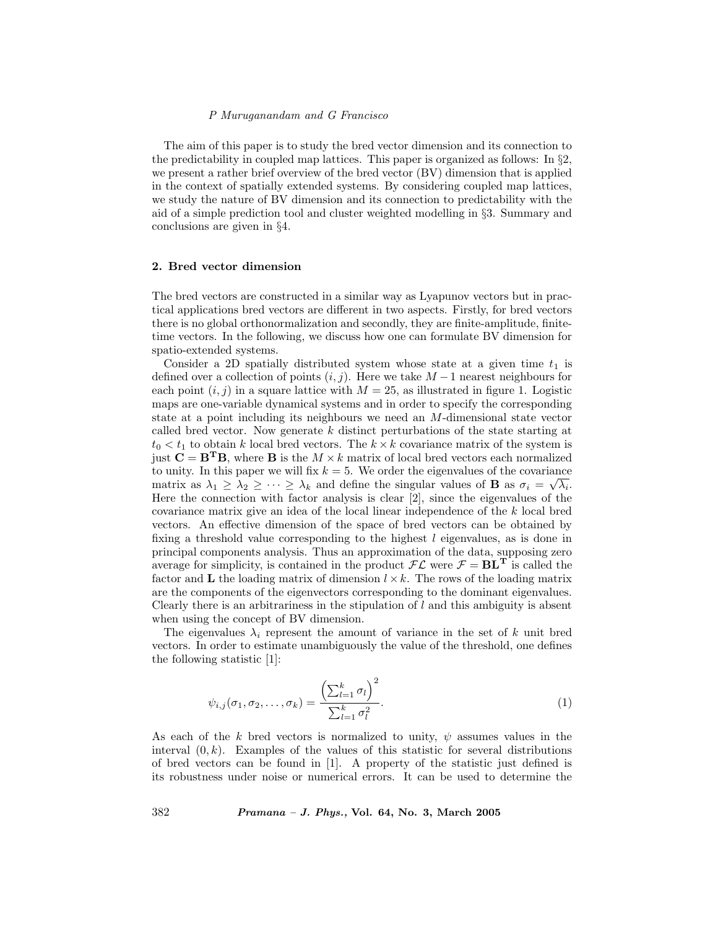#### P Muruganandam and G Francisco

The aim of this paper is to study the bred vector dimension and its connection to the predictability in coupled map lattices. This paper is organized as follows: In  $\S 2$ , we present a rather brief overview of the bred vector (BV) dimension that is applied in the context of spatially extended systems. By considering coupled map lattices, we study the nature of BV dimension and its connection to predictability with the aid of a simple prediction tool and cluster weighted modelling in §3. Summary and conclusions are given in §4.

## 2. Bred vector dimension

The bred vectors are constructed in a similar way as Lyapunov vectors but in practical applications bred vectors are different in two aspects. Firstly, for bred vectors there is no global orthonormalization and secondly, they are finite-amplitude, finitetime vectors. In the following, we discuss how one can formulate BV dimension for spatio-extended systems.

Consider a 2D spatially distributed system whose state at a given time  $t_1$  is defined over a collection of points  $(i, j)$ . Here we take  $M - 1$  nearest neighbours for each point  $(i, j)$  in a square lattice with  $M = 25$ , as illustrated in figure 1. Logistic maps are one-variable dynamical systems and in order to specify the corresponding state at a point including its neighbours we need an M-dimensional state vector called bred vector. Now generate k distinct perturbations of the state starting at  $t_0 < t_1$  to obtain k local bred vectors. The  $k \times k$  covariance matrix of the system is just  $C = B<sup>T</sup>B$ , where B is the  $M \times k$  matrix of local bred vectors each normalized to unity. In this paper we will fix  $k = 5$ . We order the eigenvalues of the covariance matrix as  $\lambda_1 \geq \lambda_2 \geq \cdots \geq \lambda_k$  and define the singular values of **B** as  $\sigma_i = \sqrt{\lambda_i}$ . Here the connection with factor analysis is clear [2], since the eigenvalues of the covariance matrix give an idea of the local linear independence of the k local bred vectors. An effective dimension of the space of bred vectors can be obtained by fixing a threshold value corresponding to the highest l eigenvalues, as is done in principal components analysis. Thus an approximation of the data, supposing zero average for simplicity, is contained in the product  $\mathcal{FL}$  were  $\mathcal{F} = BL^T$  is called the factor and L the loading matrix of dimension  $l \times k$ . The rows of the loading matrix are the components of the eigenvectors corresponding to the dominant eigenvalues. Clearly there is an arbitrariness in the stipulation of  $l$  and this ambiguity is absent when using the concept of BV dimension.

The eigenvalues  $\lambda_i$  represent the amount of variance in the set of k unit bred vectors. In order to estimate unambiguously the value of the threshold, one defines the following statistic [1]:

$$
\psi_{i,j}(\sigma_1, \sigma_2, \dots, \sigma_k) = \frac{\left(\sum_{l=1}^k \sigma_l\right)^2}{\sum_{l=1}^k \sigma_l^2}.
$$
\n(1)

As each of the k bred vectors is normalized to unity,  $\psi$  assumes values in the interval  $(0, k)$ . Examples of the values of this statistic for several distributions of bred vectors can be found in [1]. A property of the statistic just defined is its robustness under noise or numerical errors. It can be used to determine the

382 Pramana – J. Phys., Vol. 64, No. 3, March 2005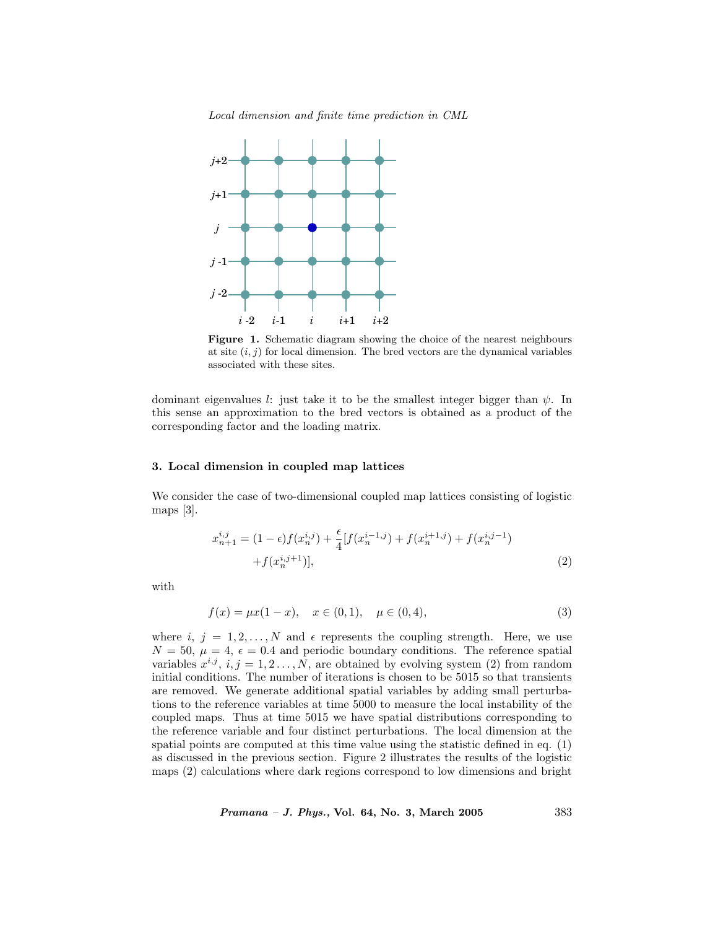Local dimension and finite time prediction in CML



Figure 1. Schematic diagram showing the choice of the nearest neighbours at site  $(i, j)$  for local dimension. The bred vectors are the dynamical variables associated with these sites.

dominant eigenvalues l: just take it to be the smallest integer bigger than  $\psi$ . In this sense an approximation to the bred vectors is obtained as a product of the corresponding factor and the loading matrix.

## 3. Local dimension in coupled map lattices

We consider the case of two-dimensional coupled map lattices consisting of logistic maps [3].

$$
x_{n+1}^{i,j} = (1 - \epsilon)f(x_n^{i,j}) + \frac{\epsilon}{4}[f(x_n^{i-1,j}) + f(x_n^{i+1,j}) + f(x_n^{i,j-1}) + f(x_n^{i,j+1})],
$$
\n
$$
(2)
$$

with

$$
f(x) = \mu x (1 - x), \quad x \in (0, 1), \quad \mu \in (0, 4), \tag{3}
$$

where i,  $j = 1, 2, \ldots, N$  and  $\epsilon$  represents the coupling strength. Here, we use  $N = 50$ ,  $\mu = 4$ ,  $\epsilon = 0.4$  and periodic boundary conditions. The reference spatial variables  $x^{i,j}$ ,  $i, j = 1, 2, \ldots, N$ , are obtained by evolving system (2) from random initial conditions. The number of iterations is chosen to be 5015 so that transients are removed. We generate additional spatial variables by adding small perturbations to the reference variables at time 5000 to measure the local instability of the coupled maps. Thus at time 5015 we have spatial distributions corresponding to the reference variable and four distinct perturbations. The local dimension at the spatial points are computed at this time value using the statistic defined in eq. (1) as discussed in the previous section. Figure 2 illustrates the results of the logistic maps (2) calculations where dark regions correspond to low dimensions and bright

Pramana – J. Phys., Vol. 64, No. 3, March 2005 383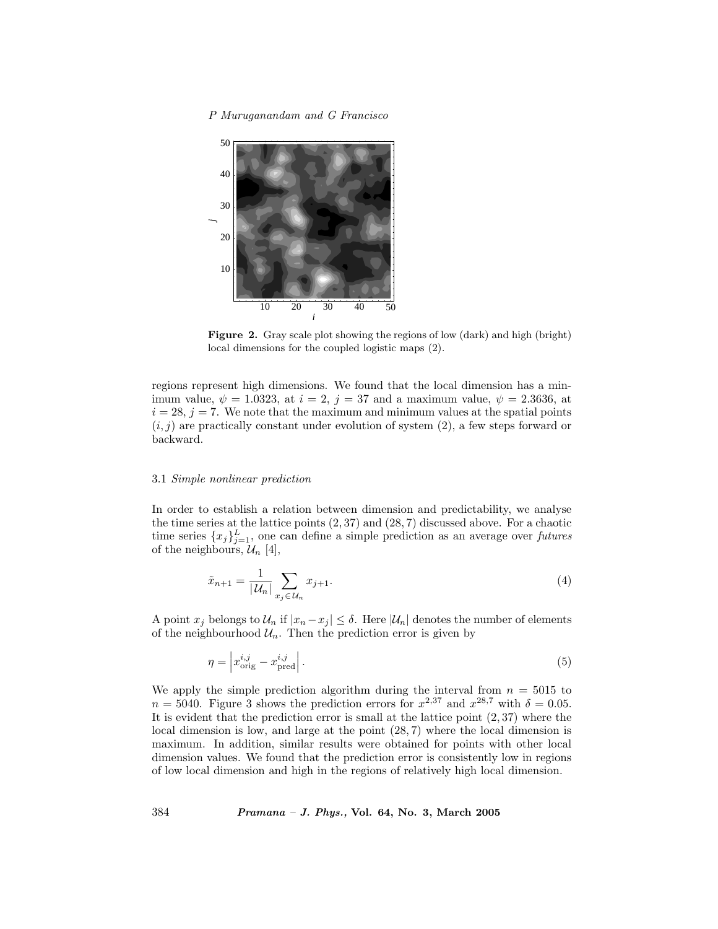## P Muruganandam and G Francisco



Figure 2. Gray scale plot showing the regions of low (dark) and high (bright) local dimensions for the coupled logistic maps (2).

regions represent high dimensions. We found that the local dimension has a minimum value,  $\psi = 1.0323$ , at  $i = 2$ ,  $j = 37$  and a maximum value,  $\psi = 2.3636$ , at  $i = 28$ ,  $j = 7$ . We note that the maximum and minimum values at the spatial points  $(i, j)$  are practically constant under evolution of system  $(2)$ , a few steps forward or backward.

#### 3.1 Simple nonlinear prediction

In order to establish a relation between dimension and predictability, we analyse the time series at the lattice points  $(2, 37)$  and  $(28, 7)$  discussed above. For a chaotic time series  ${x_j}_{j=1}^L$ , one can define a simple prediction as an average over futures of the neighbours,  $\mathcal{U}_n$  [4],

$$
\tilde{x}_{n+1} = \frac{1}{|\mathcal{U}_n|} \sum_{x_j \in \mathcal{U}_n} x_{j+1}.
$$
\n(4)

A point  $x_j$  belongs to  $\mathcal{U}_n$  if  $|x_n - x_j| \leq \delta$ . Here  $|\mathcal{U}_n|$  denotes the number of elements of the neighbourhood  $\mathcal{U}_n$ . Then the prediction error is given by

$$
\eta = \left| x_{\text{orig}}^{i,j} - x_{\text{pred}}^{i,j} \right|.
$$
\n<sup>(5)</sup>

We apply the simple prediction algorithm during the interval from  $n = 5015$  to  $n = 5040$ . Figure 3 shows the prediction errors for  $x^{2,37}$  and  $x^{28,7}$  with  $\delta = 0.05$ . It is evident that the prediction error is small at the lattice point  $(2, 37)$  where the local dimension is low, and large at the point (28, 7) where the local dimension is maximum. In addition, similar results were obtained for points with other local dimension values. We found that the prediction error is consistently low in regions of low local dimension and high in the regions of relatively high local dimension.

384 Pramana – J. Phys., Vol. 64, No. 3, March 2005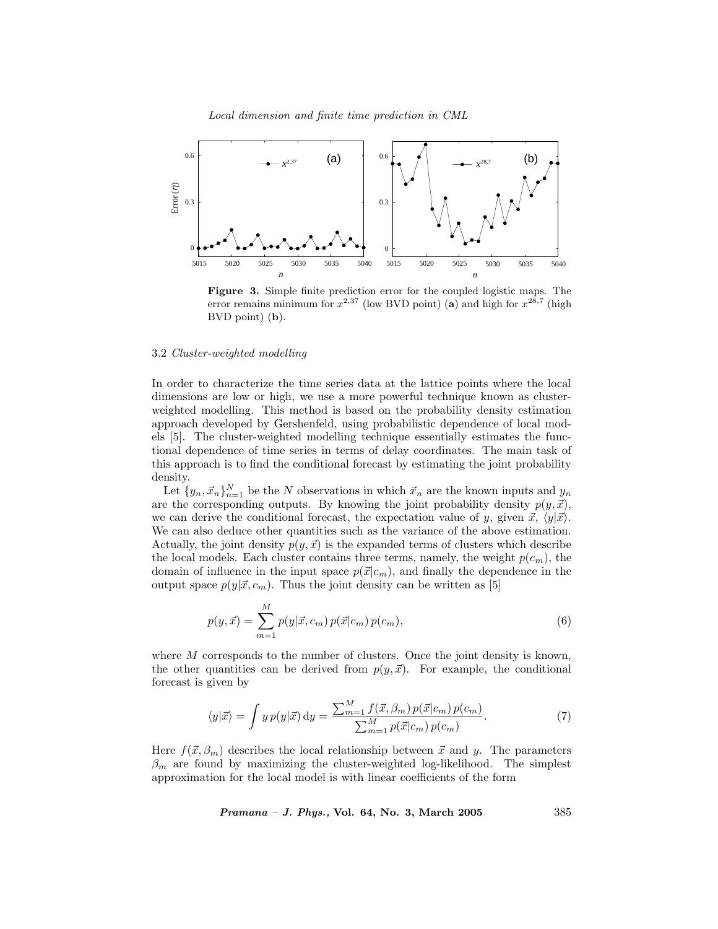

Figure 3. Simple finite prediction error for the coupled logistic maps. The error remains minimum for  $x^{2,37}$  (low BVD point) (a) and high for  $x^{28,7}$  (high BVD point) (b).

## 3.2 Cluster-weighted modelling

In order to characterize the time series data at the lattice points where the local dimensions are low or high, we use a more powerful technique known as clusterweighted modelling. This method is based on the probability density estimation approach developed by Gershenfeld, using probabilistic dependence of local models [5]. The cluster-weighted modelling technique essentially estimates the functional dependence of time series in terms of delay coordinates. The main task of this approach is to find the conditional forecast by estimating the joint probability density.

Let  $\{y_n, \vec{x}_n\}_{n=1}^N$  be the N observations in which  $\vec{x}_n$  are the known inputs and  $y_n$ are the corresponding outputs. By knowing the joint probability density  $p(y, \vec{x})$ , we can derive the conditional forecast, the expectation value of y, given  $\vec{x}$ ,  $\langle y|\vec{x}\rangle$ . We can also deduce other quantities such as the variance of the above estimation. Actually, the joint density  $p(y, \vec{x})$  is the expanded terms of clusters which describe the local models. Each cluster contains three terms, namely, the weight  $p(c_m)$ , the domain of influence in the input space  $p(\vec{x}|c_m)$ , and finally the dependence in the output space  $p(y|\vec{x}, c_m)$ . Thus the joint density can be written as [5]

$$
p(y, \vec{x}) = \sum_{m=1}^{M} p(y|\vec{x}, c_m) p(\vec{x}|c_m) p(c_m),
$$
\n(6)

where  $M$  corresponds to the number of clusters. Once the joint density is known, the other quantities can be derived from  $p(y, \vec{x})$ . For example, the conditional forecast is given by

$$
\langle y|\vec{x}\rangle = \int y\,p(y|\vec{x})\,\mathrm{d}y = \frac{\sum_{m=1}^{M} f(\vec{x}, \beta_m)\,p(\vec{x}|c_m)\,p(c_m)}{\sum_{m=1}^{M} p(\vec{x}|c_m)\,p(c_m)}.\tag{7}
$$

Here  $f(\vec{x}, \beta_m)$  describes the local relationship between  $\vec{x}$  and y. The parameters  $\beta_m$  are found by maximizing the cluster-weighted log-likelihood. The simplest approximation for the local model is with linear coefficients of the form

Pramana – J. Phys., Vol. 64, No. 3, March 2005 385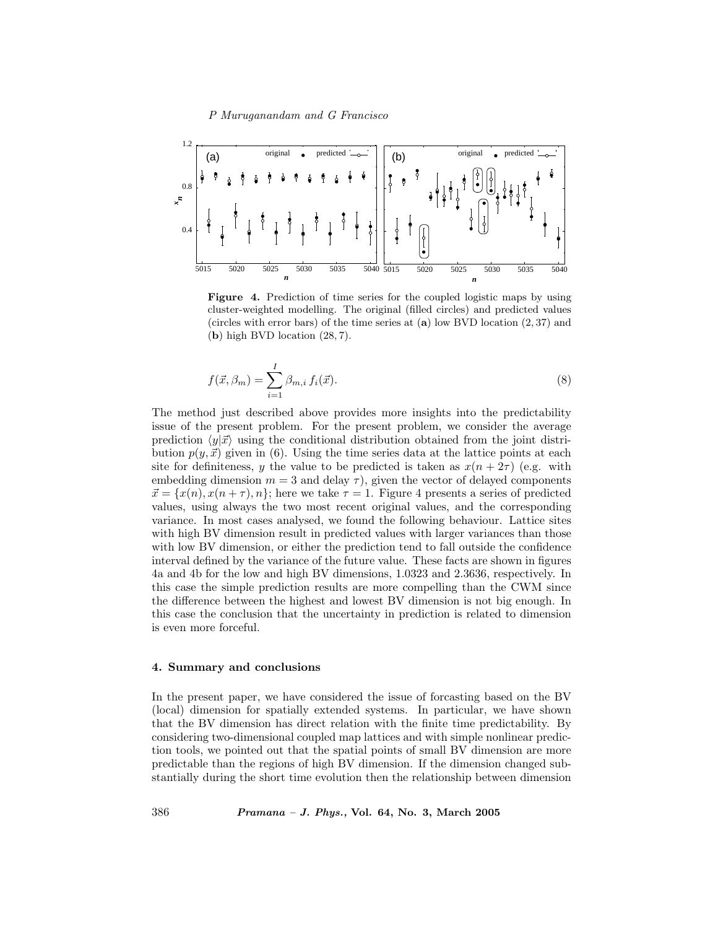## P Muruganandam and G Francisco



Figure 4. Prediction of time series for the coupled logistic maps by using cluster-weighted modelling. The original (filled circles) and predicted values (circles with error bars) of the time series at  $(a)$  low BVD location  $(2, 37)$  and (b) high BVD location (28, 7).

$$
f(\vec{x}, \beta_m) = \sum_{i=1}^{I} \beta_{m,i} f_i(\vec{x}).
$$
\n(8)

The method just described above provides more insights into the predictability issue of the present problem. For the present problem, we consider the average prediction  $\langle y|\vec{x}\rangle$  using the conditional distribution obtained from the joint distribution  $p(y, \vec{x})$  given in (6). Using the time series data at the lattice points at each site for definiteness, y the value to be predicted is taken as  $x(n + 2\tau)$  (e.g. with embedding dimension  $m = 3$  and delay  $\tau$ ), given the vector of delayed components  $\vec{x} = \{x(n), x(n + \tau), n\}$ ; here we take  $\tau = 1$ . Figure 4 presents a series of predicted values, using always the two most recent original values, and the corresponding variance. In most cases analysed, we found the following behaviour. Lattice sites with high BV dimension result in predicted values with larger variances than those with low BV dimension, or either the prediction tend to fall outside the confidence interval defined by the variance of the future value. These facts are shown in figures 4a and 4b for the low and high BV dimensions, 1.0323 and 2.3636, respectively. In this case the simple prediction results are more compelling than the CWM since the difference between the highest and lowest BV dimension is not big enough. In this case the conclusion that the uncertainty in prediction is related to dimension is even more forceful.

#### 4. Summary and conclusions

In the present paper, we have considered the issue of forcasting based on the BV (local) dimension for spatially extended systems. In particular, we have shown that the BV dimension has direct relation with the finite time predictability. By considering two-dimensional coupled map lattices and with simple nonlinear prediction tools, we pointed out that the spatial points of small BV dimension are more predictable than the regions of high BV dimension. If the dimension changed substantially during the short time evolution then the relationship between dimension

386 Pramana – J. Phys., Vol. 64, No. 3, March 2005